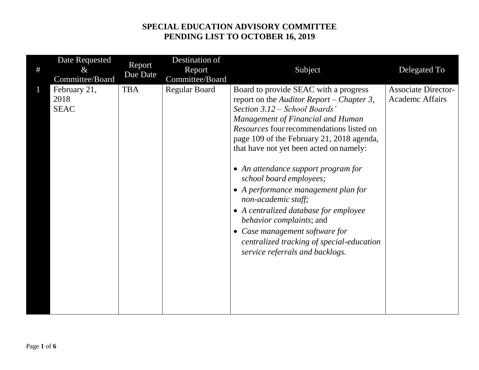| # | Date Requested<br>$\&$<br>Committee/Board | Report<br>Due Date | Destination of<br>Report<br>Committee/Board | Subject                                                                                                                                                                                                                                                                                                                                                                                                                                                                                                                                                                                                             | Delegated To                                         |
|---|-------------------------------------------|--------------------|---------------------------------------------|---------------------------------------------------------------------------------------------------------------------------------------------------------------------------------------------------------------------------------------------------------------------------------------------------------------------------------------------------------------------------------------------------------------------------------------------------------------------------------------------------------------------------------------------------------------------------------------------------------------------|------------------------------------------------------|
|   | February 21,<br>2018<br><b>SEAC</b>       | <b>TBA</b>         | <b>Regular Board</b>                        | Board to provide SEAC with a progress<br>report on the Auditor Report – Chapter 3,<br>Section 3.12 – School Boards'<br>Management of Financial and Human<br>Resources four recommendations listed on<br>page 109 of the February 21, 2018 agenda,<br>that have not yet been acted on namely:<br>• An attendance support program for<br>school board employees;<br>• A performance management plan for<br>non-academic staff;<br>• A centralized database for employee<br>behavior complaints; and<br>• Case management software for<br>centralized tracking of special-education<br>service referrals and backlogs. | <b>Associate Director-</b><br><b>Academc Affairs</b> |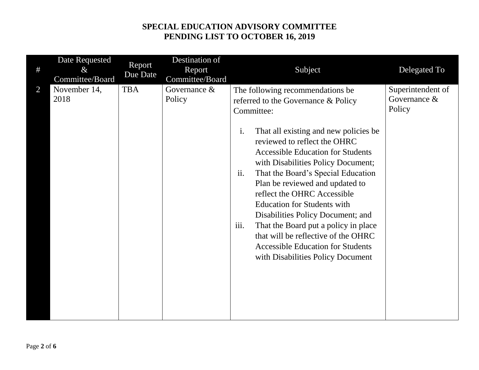| Date Requested<br>#<br>$\&$<br>Committee/Board | Report<br>Due Date | Destination of<br>Report<br>Committee/Board | Subject                                                                                                                                                                                                                                                                                                                                                                                                                                                                                                                                                                                                                  | Delegated To                                |
|------------------------------------------------|--------------------|---------------------------------------------|--------------------------------------------------------------------------------------------------------------------------------------------------------------------------------------------------------------------------------------------------------------------------------------------------------------------------------------------------------------------------------------------------------------------------------------------------------------------------------------------------------------------------------------------------------------------------------------------------------------------------|---------------------------------------------|
| $\overline{2}$<br>November 14,<br>2018         | <b>TBA</b>         | Governance $&$<br>Policy                    | The following recommendations be<br>referred to the Governance & Policy<br>Committee:<br>i.<br>That all existing and new policies be<br>reviewed to reflect the OHRC<br><b>Accessible Education for Students</b><br>with Disabilities Policy Document;<br>ii.<br>That the Board's Special Education<br>Plan be reviewed and updated to<br>reflect the OHRC Accessible<br><b>Education for Students with</b><br>Disabilities Policy Document; and<br>iii.<br>That the Board put a policy in place<br>that will be reflective of the OHRC<br><b>Accessible Education for Students</b><br>with Disabilities Policy Document | Superintendent of<br>Governance &<br>Policy |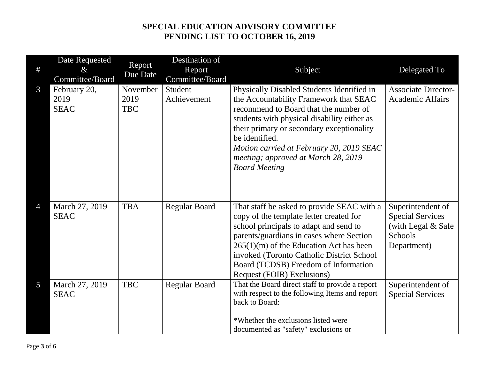| $\#$           | <b>Date Requested</b><br>$\&$<br>Committee/Board | Report<br>Due Date             | Destination of<br>Report<br>Committee/Board | Subject                                                                                                                                                                                                                                                                                                                                                | Delegated To                                                                                 |
|----------------|--------------------------------------------------|--------------------------------|---------------------------------------------|--------------------------------------------------------------------------------------------------------------------------------------------------------------------------------------------------------------------------------------------------------------------------------------------------------------------------------------------------------|----------------------------------------------------------------------------------------------|
| 3              | February 20,<br>2019<br><b>SEAC</b>              | November<br>2019<br><b>TBC</b> | Student<br>Achievement                      | Physically Disabled Students Identified in<br>the Accountability Framework that SEAC<br>recommend to Board that the number of<br>students with physical disability either as<br>their primary or secondary exceptionality<br>be identified.<br>Motion carried at February 20, 2019 SEAC<br>meeting; approved at March 28, 2019<br><b>Board Meeting</b> | <b>Associate Director-</b><br><b>Academic Affairs</b>                                        |
| $\overline{4}$ | March 27, 2019<br><b>SEAC</b>                    | <b>TBA</b>                     | <b>Regular Board</b>                        | That staff be asked to provide SEAC with a<br>copy of the template letter created for<br>school principals to adapt and send to<br>parents/guardians in cases where Section<br>$265(1)(m)$ of the Education Act has been<br>invoked (Toronto Catholic District School<br>Board (TCDSB) Freedom of Information<br>Request (FOIR) Exclusions)            | Superintendent of<br><b>Special Services</b><br>(with Legal & Safe<br>Schools<br>Department) |
| 5              | March 27, 2019<br><b>SEAC</b>                    | <b>TBC</b>                     | <b>Regular Board</b>                        | That the Board direct staff to provide a report<br>with respect to the following Items and report<br>back to Board:<br>*Whether the exclusions listed were<br>documented as "safety" exclusions or                                                                                                                                                     | Superintendent of<br><b>Special Services</b>                                                 |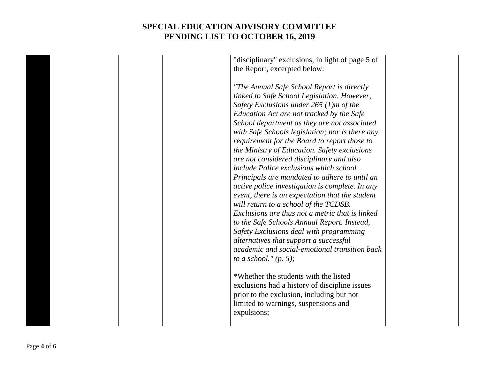| "disciplinary" exclusions, in light of page 5 of |
|--------------------------------------------------|
| the Report, excerpted below:                     |
| "The Annual Safe School Report is directly       |
| linked to Safe School Legislation. However,      |
| Safety Exclusions under $265(1)$ m of the        |
| Education Act are not tracked by the Safe        |
| School department as they are not associated     |
| with Safe Schools legislation; nor is there any  |
| requirement for the Board to report those to     |
| the Ministry of Education. Safety exclusions     |
| are not considered disciplinary and also         |
| include Police exclusions which school           |
| Principals are mandated to adhere to until an    |
| active police investigation is complete. In any  |
| event, there is an expectation that the student  |
| will return to a school of the TCDSB.            |
| Exclusions are thus not a metric that is linked  |
| to the Safe Schools Annual Report. Instead,      |
| Safety Exclusions deal with programming          |
| alternatives that support a successful           |
| academic and social-emotional transition back    |
| to a school." $(p, 5)$ ;                         |
| *Whether the students with the listed            |
| exclusions had a history of discipline issues    |
| prior to the exclusion, including but not        |
| limited to warnings, suspensions and             |
| expulsions;                                      |
|                                                  |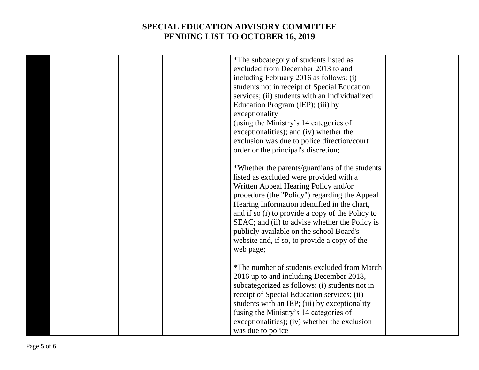|  | *The subcategory of students listed as           |  |
|--|--------------------------------------------------|--|
|  | excluded from December 2013 to and               |  |
|  | including February 2016 as follows: (i)          |  |
|  | students not in receipt of Special Education     |  |
|  | services; (ii) students with an Individualized   |  |
|  | Education Program (IEP); (iii) by                |  |
|  | exceptionality                                   |  |
|  | (using the Ministry's 14 categories of           |  |
|  | exceptionalities); and (iv) whether the          |  |
|  | exclusion was due to police direction/court      |  |
|  | order or the principal's discretion;             |  |
|  |                                                  |  |
|  | *Whether the parents/guardians of the students   |  |
|  | listed as excluded were provided with a          |  |
|  | Written Appeal Hearing Policy and/or             |  |
|  | procedure (the "Policy") regarding the Appeal    |  |
|  | Hearing Information identified in the chart,     |  |
|  | and if so (i) to provide a copy of the Policy to |  |
|  | SEAC; and (ii) to advise whether the Policy is   |  |
|  | publicly available on the school Board's         |  |
|  | website and, if so, to provide a copy of the     |  |
|  | web page;                                        |  |
|  |                                                  |  |
|  | *The number of students excluded from March      |  |
|  | 2016 up to and including December 2018,          |  |
|  | subcategorized as follows: (i) students not in   |  |
|  | receipt of Special Education services; (ii)      |  |
|  | students with an IEP; (iii) by exceptionality    |  |
|  | (using the Ministry's 14 categories of           |  |
|  | exceptionalities); (iv) whether the exclusion    |  |
|  | was due to police                                |  |
|  |                                                  |  |